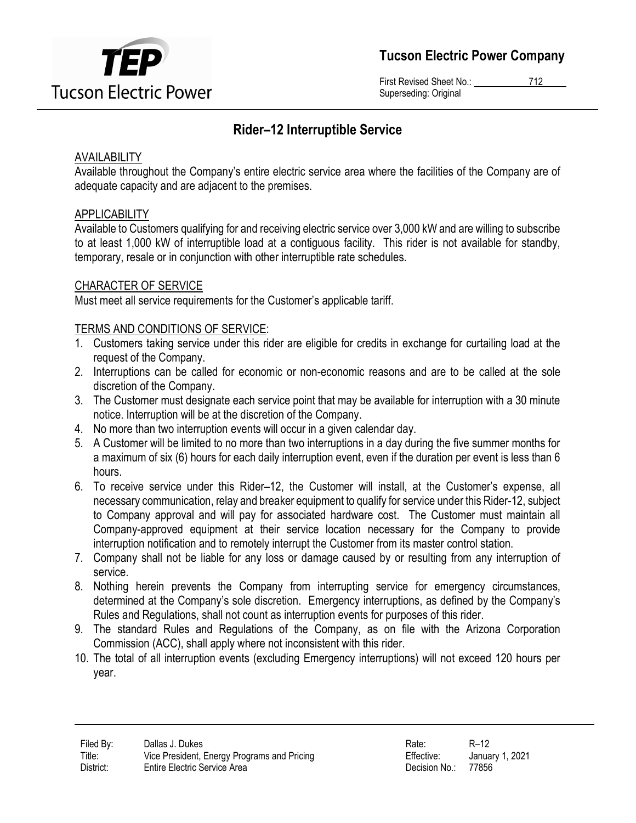

Tucson Electric Power Company

First Revised Sheet No.: 712 Superseding: Original

# Rider–12 Interruptible Service

# AVAILABILITY

Available throughout the Company's entire electric service area where the facilities of the Company are of adequate capacity and are adjacent to the premises.

# APPLICABILITY

Available to Customers qualifying for and receiving electric service over 3,000 kW and are willing to subscribe to at least 1,000 kW of interruptible load at a contiguous facility. This rider is not available for standby, temporary, resale or in conjunction with other interruptible rate schedules.

# CHARACTER OF SERVICE

Must meet all service requirements for the Customer's applicable tariff.

# TERMS AND CONDITIONS OF SERVICE:

- 1. Customers taking service under this rider are eligible for credits in exchange for curtailing load at the request of the Company.
- 2. Interruptions can be called for economic or non-economic reasons and are to be called at the sole discretion of the Company.
- 3. The Customer must designate each service point that may be available for interruption with a 30 minute notice. Interruption will be at the discretion of the Company.
- 4. No more than two interruption events will occur in a given calendar day.
- 5. A Customer will be limited to no more than two interruptions in a day during the five summer months for a maximum of six (6) hours for each daily interruption event, even if the duration per event is less than 6 hours.
- 6. To receive service under this Rider–12, the Customer will install, at the Customer's expense, all necessary communication, relay and breaker equipment to qualify for service under this Rider-12, subject to Company approval and will pay for associated hardware cost. The Customer must maintain all Company-approved equipment at their service location necessary for the Company to provide interruption notification and to remotely interrupt the Customer from its master control station.
- 7. Company shall not be liable for any loss or damage caused by or resulting from any interruption of service.
- 8. Nothing herein prevents the Company from interrupting service for emergency circumstances, determined at the Company's sole discretion. Emergency interruptions, as defined by the Company's Rules and Regulations, shall not count as interruption events for purposes of this rider.
- 9. The standard Rules and Regulations of the Company, as on file with the Arizona Corporation Commission (ACC), shall apply where not inconsistent with this rider.
- 10. The total of all interruption events (excluding Emergency interruptions) will not exceed 120 hours per year.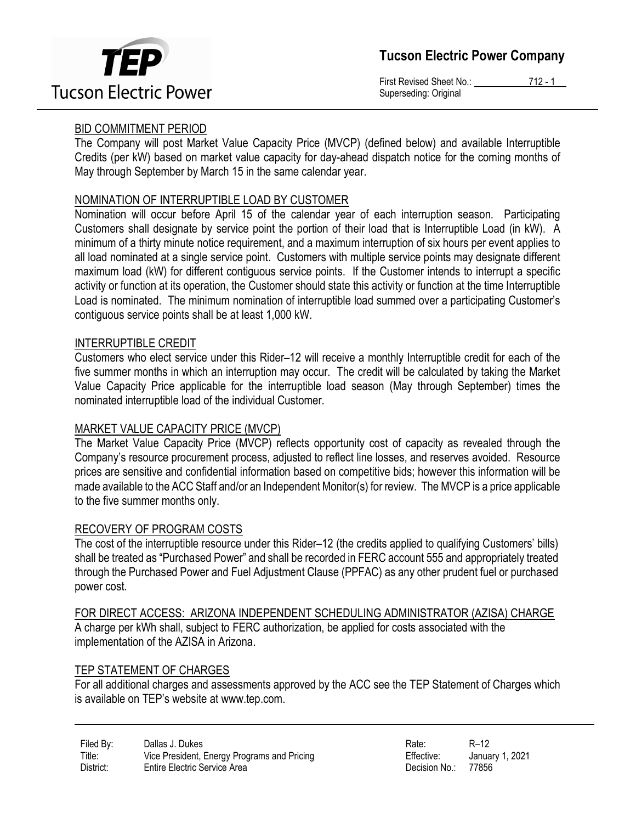



First Revised Sheet No.: 712 - 1 Superseding: Original

# BID COMMITMENT PERIOD

The Company will post Market Value Capacity Price (MVCP) (defined below) and available Interruptible Credits (per kW) based on market value capacity for day-ahead dispatch notice for the coming months of May through September by March 15 in the same calendar year.

# NOMINATION OF INTERRUPTIBLE LOAD BY CUSTOMER

Nomination will occur before April 15 of the calendar year of each interruption season. Participating Customers shall designate by service point the portion of their load that is Interruptible Load (in kW). A minimum of a thirty minute notice requirement, and a maximum interruption of six hours per event applies to all load nominated at a single service point. Customers with multiple service points may designate different maximum load (kW) for different contiguous service points. If the Customer intends to interrupt a specific activity or function at its operation, the Customer should state this activity or function at the time Interruptible Load is nominated. The minimum nomination of interruptible load summed over a participating Customer's contiguous service points shall be at least 1,000 kW.

### INTERRUPTIBLE CREDIT

Customers who elect service under this Rider–12 will receive a monthly Interruptible credit for each of the five summer months in which an interruption may occur. The credit will be calculated by taking the Market Value Capacity Price applicable for the interruptible load season (May through September) times the nominated interruptible load of the individual Customer.

### MARKET VALUE CAPACITY PRICE (MVCP)

The Market Value Capacity Price (MVCP) reflects opportunity cost of capacity as revealed through the Company's resource procurement process, adjusted to reflect line losses, and reserves avoided. Resource prices are sensitive and confidential information based on competitive bids; however this information will be made available to the ACC Staff and/or an Independent Monitor(s) for review. The MVCP is a price applicable to the five summer months only.

#### RECOVERY OF PROGRAM COSTS

The cost of the interruptible resource under this Rider–12 (the credits applied to qualifying Customers' bills) shall be treated as "Purchased Power" and shall be recorded in FERC account 555 and appropriately treated through the Purchased Power and Fuel Adjustment Clause (PPFAC) as any other prudent fuel or purchased power cost.

FOR DIRECT ACCESS: ARIZONA INDEPENDENT SCHEDULING ADMINISTRATOR (AZISA) CHARGE

A charge per kWh shall, subject to FERC authorization, be applied for costs associated with the implementation of the AZISA in Arizona.

#### TEP STATEMENT OF CHARGES

For all additional charges and assessments approved by the ACC see the TEP Statement of Charges which is available on TEP's website at www.tep.com.